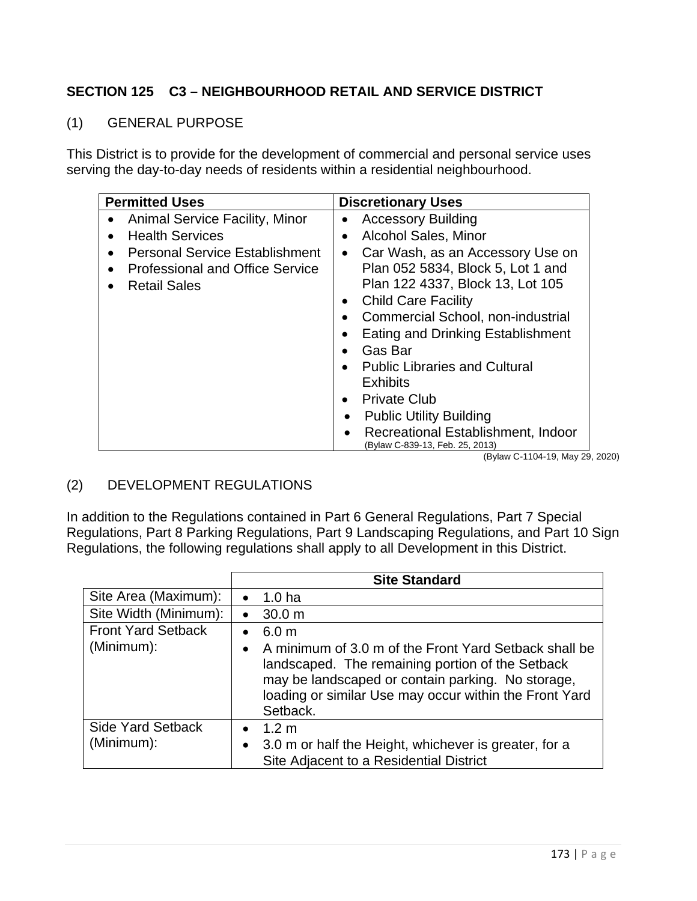## **SECTION 125 C3 – NEIGHBOURHOOD RETAIL AND SERVICE DISTRICT**

## (1) GENERAL PURPOSE

This District is to provide for the development of commercial and personal service uses serving the day-to-day needs of residents within a residential neighbourhood.

| <b>Permitted Uses</b>                              | <b>Discretionary Uses</b>                                             |
|----------------------------------------------------|-----------------------------------------------------------------------|
| <b>Animal Service Facility, Minor</b><br>$\bullet$ | <b>Accessory Building</b>                                             |
| <b>Health Services</b>                             | <b>Alcohol Sales, Minor</b>                                           |
| <b>Personal Service Establishment</b>              | Car Wash, as an Accessory Use on<br>$\bullet$                         |
| <b>Professional and Office Service</b>             | Plan 052 5834, Block 5, Lot 1 and                                     |
| <b>Retail Sales</b>                                | Plan 122 4337, Block 13, Lot 105                                      |
|                                                    | <b>Child Care Facility</b>                                            |
|                                                    | <b>Commercial School, non-industrial</b>                              |
|                                                    | <b>Eating and Drinking Establishment</b>                              |
|                                                    | Gas Bar                                                               |
|                                                    | <b>Public Libraries and Cultural</b>                                  |
|                                                    | <b>Exhibits</b>                                                       |
|                                                    | <b>Private Club</b>                                                   |
|                                                    | <b>Public Utility Building</b><br>٠                                   |
|                                                    | Recreational Establishment, Indoor<br>(Bylaw C-839-13, Feb. 25, 2013) |

(Bylaw C-1104-19, May 29, 2020)

## (2) DEVELOPMENT REGULATIONS

In addition to the Regulations contained in Part 6 General Regulations, Part 7 Special Regulations, Part 8 Parking Regulations, Part 9 Landscaping Regulations, and Part 10 Sign Regulations, the following regulations shall apply to all Development in this District.

|                                         | <b>Site Standard</b>                                                                                                                                                                                                                                                               |
|-----------------------------------------|------------------------------------------------------------------------------------------------------------------------------------------------------------------------------------------------------------------------------------------------------------------------------------|
| Site Area (Maximum):                    | 1.0 ha<br>$\bullet$                                                                                                                                                                                                                                                                |
| Site Width (Minimum):                   | 30.0 <sub>m</sub><br>$\bullet$                                                                                                                                                                                                                                                     |
| <b>Front Yard Setback</b><br>(Minimum): | 6.0 <sub>m</sub><br>$\bullet$<br>A minimum of 3.0 m of the Front Yard Setback shall be<br>$\bullet$<br>landscaped. The remaining portion of the Setback<br>may be landscaped or contain parking. No storage,<br>loading or similar Use may occur within the Front Yard<br>Setback. |
| <b>Side Yard Setback</b><br>(Minimum):  | 1.2 m<br>3.0 m or half the Height, whichever is greater, for a<br>$\bullet$<br>Site Adjacent to a Residential District                                                                                                                                                             |